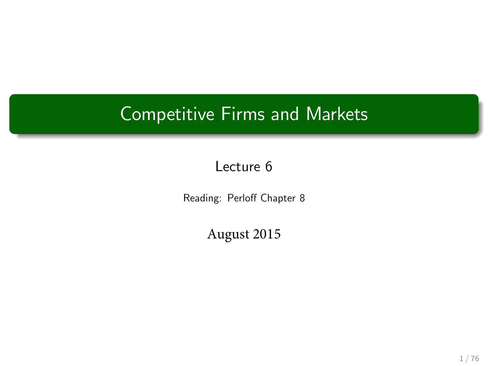## Competitive Firms and Markets

#### Lecture 6

Reading: Perloff Chapter 8

August 2015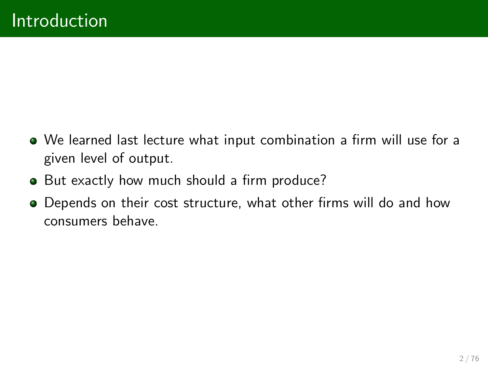- $\bullet$  We learned last lecture what input combination a firm will use for a given level of output.
- But exactly how much should a firm produce?
- **•** Depends on their cost structure, what other firms will do and how consumers behave.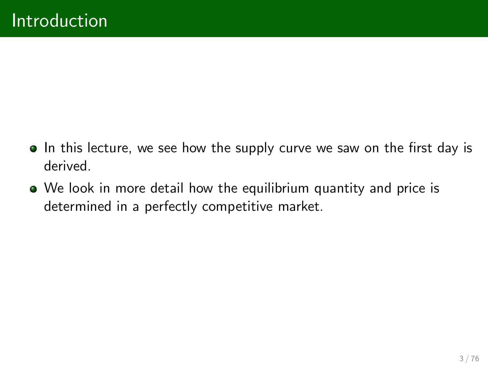- In this lecture, we see how the supply curve we saw on the first day is derived.
- We look in more detail how the equilibrium quantity and price is determined in a perfectly competitive market.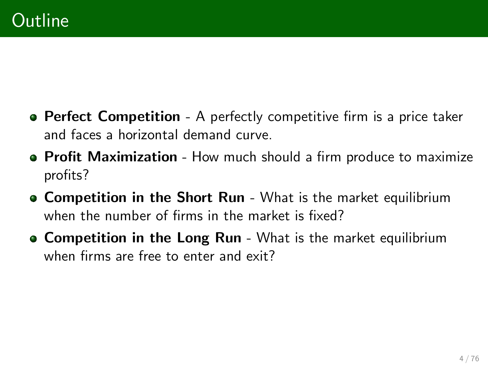- **Perfect Competition** A perfectly competitive firm is a price taker and faces a horizontal demand curve.
- **Profit Maximization** How much should a firm produce to maximize profits?
- **Competition in the Short Run** What is the market equilibrium when the number of firms in the market is fixed?
- **Competition in the Long Run** What is the market equilibrium when firms are free to enter and exit?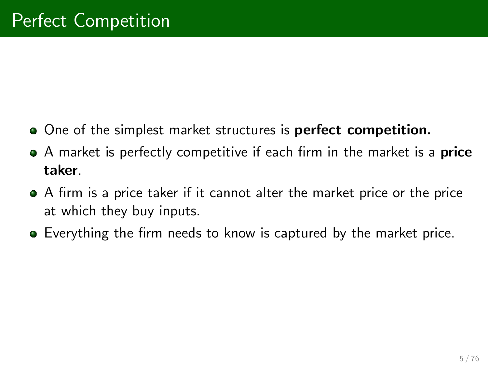- **•** One of the simplest market structures is perfect competition.
- A market is perfectly competitive if each firm in the market is a **price** taker.
- **•** A firm is a price taker if it cannot alter the market price or the price at which they buy inputs.
- **E** Everything the firm needs to know is captured by the market price.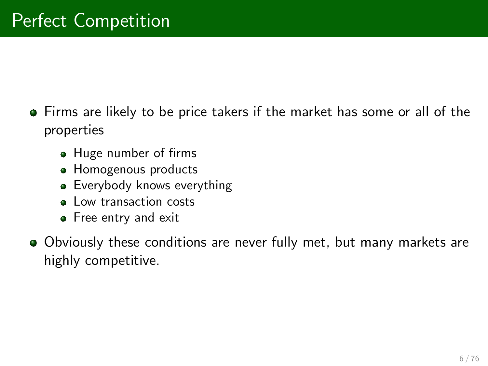- **•** Firms are likely to be price takers if the market has some or all of the properties
	- Huge number of firms
	- **Homogenous products**
	- **Everybody knows everything**
	- **Low transaction costs**
	- **•** Free entry and exit
- Obviously these conditions are never fully met, but many markets are highly competitive.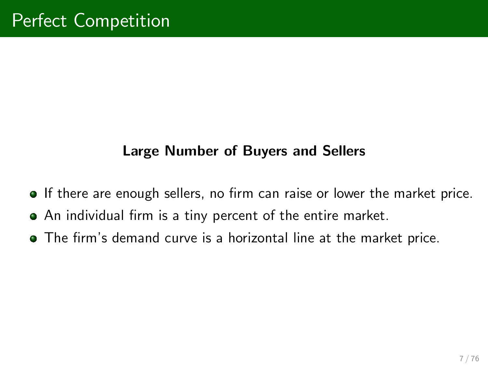#### Large Number of Buyers and Sellers

- **If there are enough sellers, no firm can raise or lower the market price.**
- $\bullet$  An individual firm is a tiny percent of the entire market.
- **•** The firm's demand curve is a horizontal line at the market price.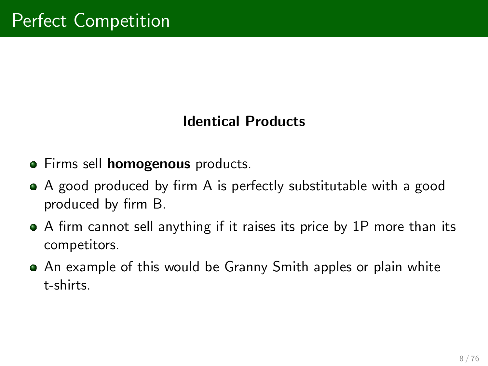#### Identical Products

- **Firms sell homogenous products.**
- A good produced by firm A is perfectly substitutable with a good produced by firm B.
- A firm cannot sell anything if it raises its price by 1P more than its competitors.
- An example of this would be Granny Smith apples or plain white t-shirts.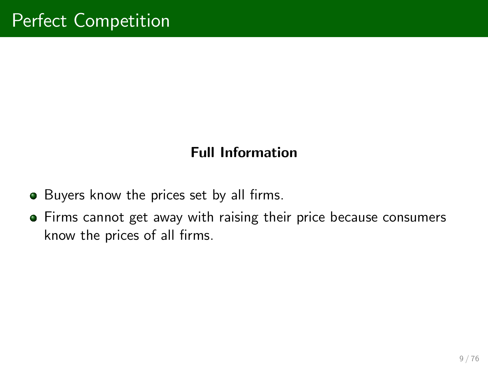#### Full Information

- **•** Buyers know the prices set by all firms.
- Firms cannot get away with raising their price because consumers know the prices of all firms.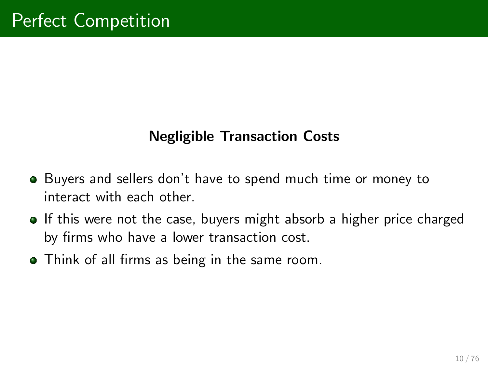#### Negligible Transaction Costs

- Buyers and sellers donít have to spend much time or money to interact with each other.
- **If this were not the case, buyers might absorb a higher price charged** by firms who have a lower transaction cost.
- Think of all firms as being in the same room.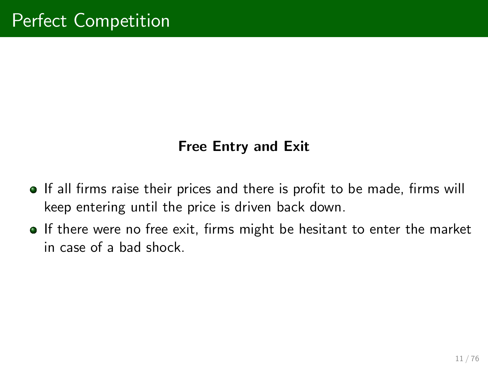#### Free Entry and Exit

- **If all firms raise their prices and there is profit to be made, firms will** keep entering until the price is driven back down.
- **If there were no free exit, firms might be hesitant to enter the market** in case of a bad shock.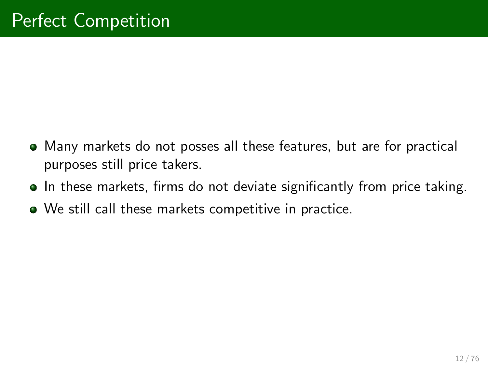- Many markets do not posses all these features, but are for practical purposes still price takers.
- **In these markets, firms do not deviate significantly from price taking.**
- We still call these markets competitive in practice.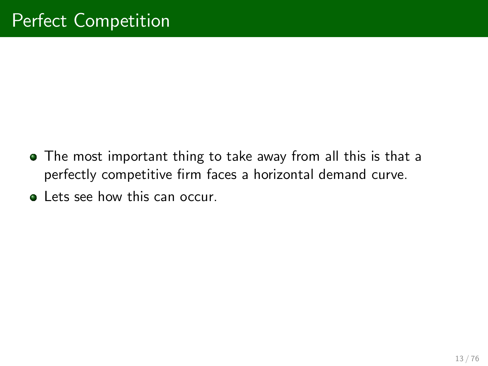- The most important thing to take away from all this is that a perfectly competitive firm faces a horizontal demand curve.
- **•** Lets see how this can occur.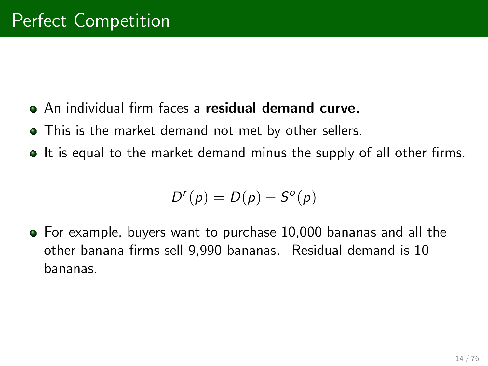- **An individual firm faces a residual demand curve.**
- This is the market demand not met by other sellers.
- If is equal to the market demand minus the supply of all other firms.

$$
D^{r}(p) = D(p) - S^{o}(p)
$$

For example, buyers want to purchase 10,000 bananas and all the other banana firms sell 9,990 bananas. Residual demand is 10 bananas.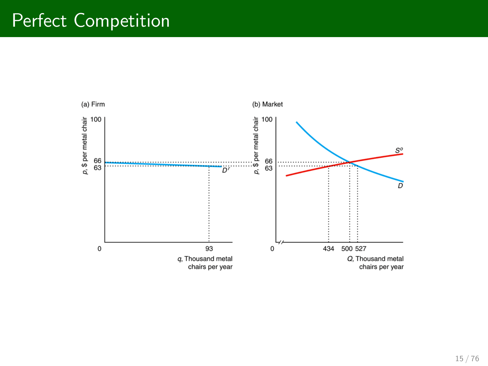### Perfect Competition

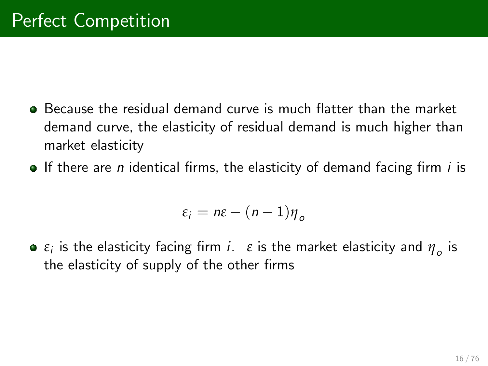- **Because the residual demand curve is much flatter than the market** demand curve, the elasticity of residual demand is much higher than market elasticity
- $\bullet$  If there are *n* identical firms, the elasticity of demand facing firm *i* is

$$
\varepsilon_i = n\varepsilon - (n-1)\eta_o
$$

 $\varepsilon_i$  is the elasticity facing firm *i*.  $\varepsilon$  is the market elasticity and  $\eta_o$  is the elasticity of supply of the other firms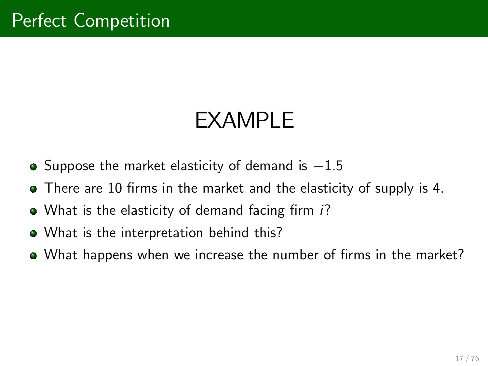# EXAMPLE

- $\bullet$  Suppose the market elasticity of demand is  $-1.5$
- There are 10 firms in the market and the elasticity of supply is 4.
- $\bullet$  What is the elasticity of demand facing firm  $i$ ?
- What is the interpretation behind this?
- What happens when we increase the number of firms in the market?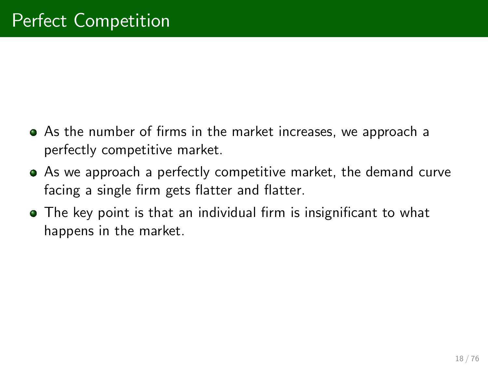- As the number of firms in the market increases, we approach a perfectly competitive market.
- As we approach a perfectly competitive market, the demand curve facing a single firm gets flatter and flatter.
- **•** The key point is that an individual firm is insignificant to what happens in the market.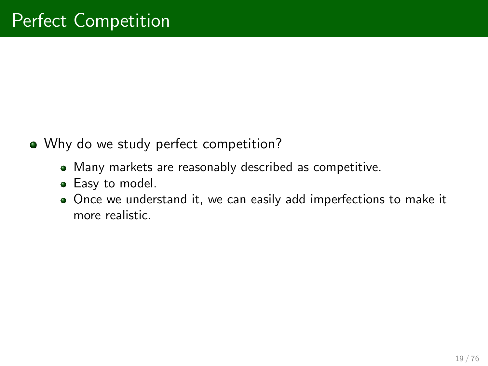- Why do we study perfect competition?
	- Many markets are reasonably described as competitive.
	- **Easy to model.**
	- Once we understand it, we can easily add imperfections to make it more realistic.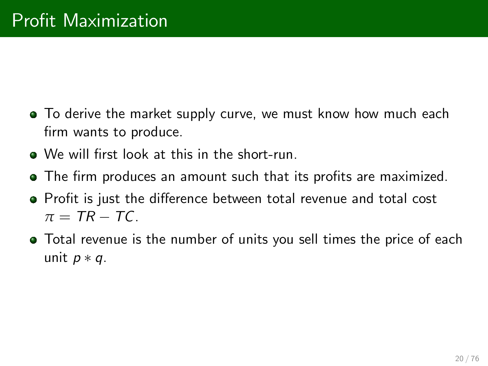- **•** To derive the market supply curve, we must know how much each firm wants to produce.
- We will first look at this in the short-run.
- The firm produces an amount such that its profits are maximized.
- Profit is just the difference between total revenue and total cost  $\pi = TR - TC$ .
- Total revenue is the number of units you sell times the price of each unit  $p * q$ .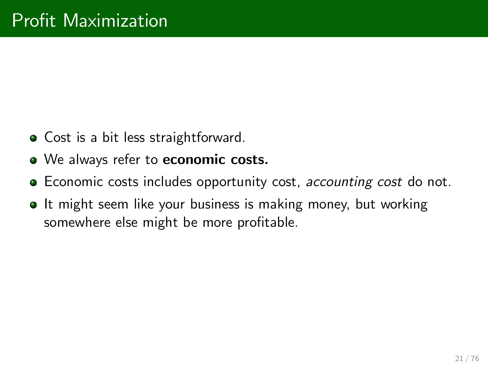- **•** Cost is a bit less straightforward.
- We always refer to economic costs.
- **Example Economic costs includes opportunity cost, accounting cost do not.**
- **It might seem like your business is making money, but working** somewhere else might be more profitable.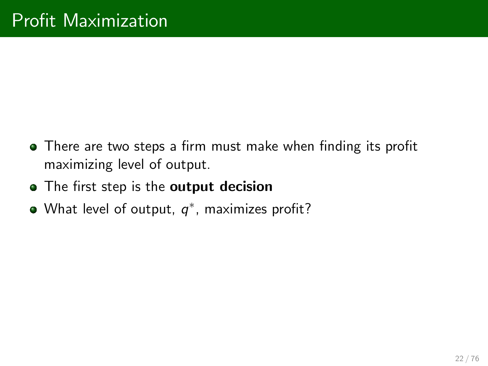- There are two steps a firm must make when finding its profit maximizing level of output.
- The first step is the output decision
- What level of output,  $q^*$ , maximizes profit?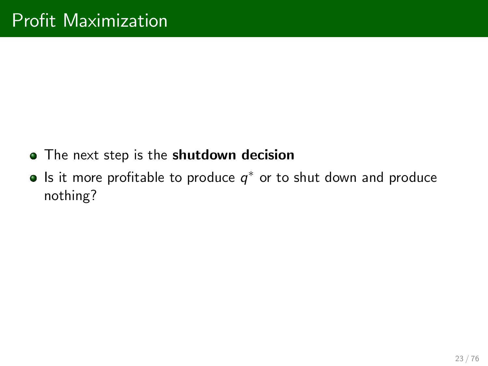- The next step is the shutdown decision
- Is it more profitable to produce  $\boldsymbol{q}^*$  or to shut down and produce nothing?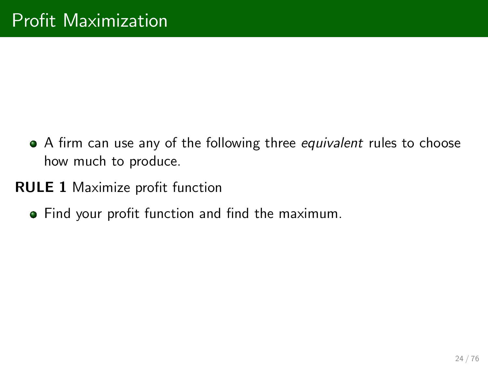- A firm can use any of the following three equivalent rules to choose how much to produce.
- **RULE 1 Maximize profit function** 
	- **Find your profit function and find the maximum.**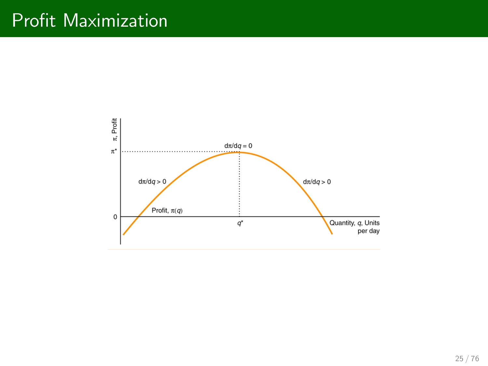### Profit Maximization

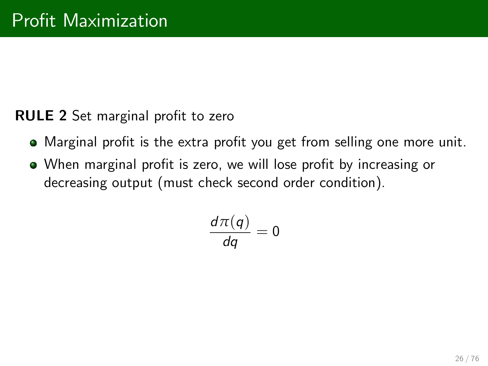#### **RULE 2** Set marginal profit to zero

- $\bullet$  Marginal profit is the extra profit you get from selling one more unit.
- When marginal profit is zero, we will lose profit by increasing or decreasing output (must check second order condition).

$$
\frac{d\pi(q)}{dq}=0
$$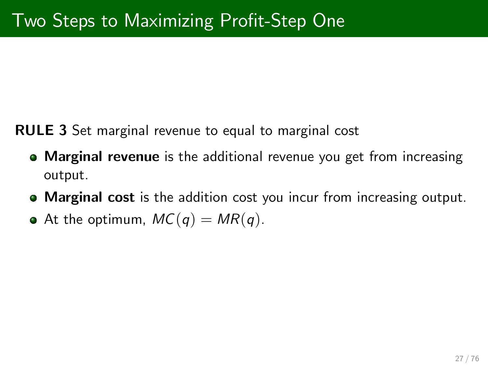RULE 3 Set marginal revenue to equal to marginal cost

- **Marginal revenue** is the additional revenue you get from increasing output.
- **Marginal cost** is the addition cost you incur from increasing output.
- At the optimum,  $MC(q) = MR(q)$ .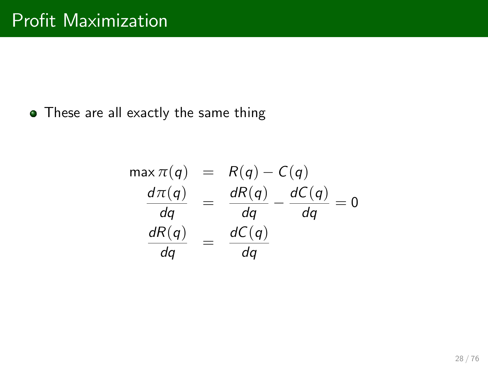• These are all exactly the same thing

$$
\begin{array}{rcl}\n\max \pi(q) & = & R(q) - C(q) \\
\frac{d\pi(q)}{dq} & = & \frac{dR(q)}{dq} - \frac{dC(q)}{dq} = 0 \\
\frac{dR(q)}{dq} & = & \frac{dC(q)}{dq}\n\end{array}
$$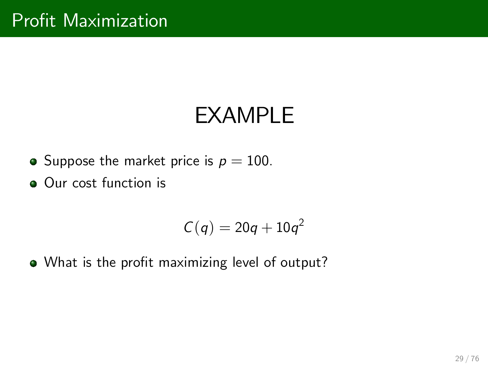## EXAMPLE

• Suppose the market price is  $p = 100$ .

Our cost function is

$$
C(q)=20q+10q^2
$$

. What is the profit maximizing level of output?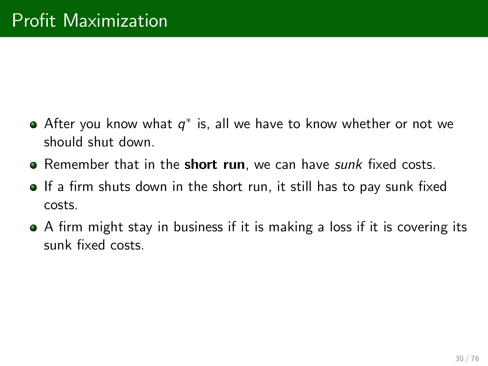- After you know what  $q^*$  is, all we have to know whether or not we should shut down.
- **•** Remember that in the **short run**, we can have  $\textit{sunk}$  fixed costs.
- If a firm shuts down in the short run, it still has to pay sunk fixed costs.
- A firm might stay in business if it is making a loss if it is covering its sunk fixed costs.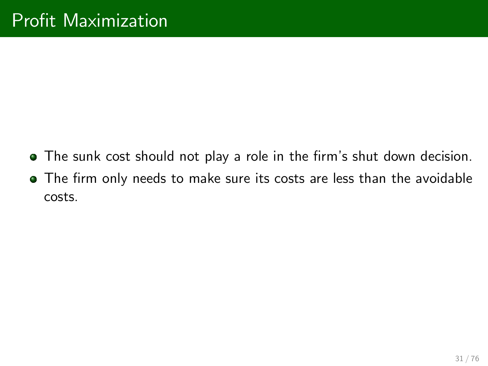- $\bullet$  The sunk cost should not play a role in the firm's shut down decision.
- $\bullet$  The firm only needs to make sure its costs are less than the avoidable costs.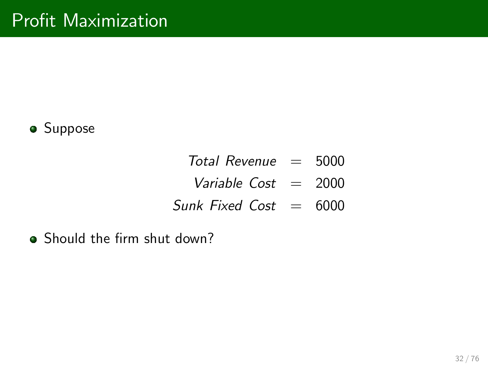

- $Total Revenue = 5000$
- Variable  $Cost = 2000$
- Sunk Fixed Cost  $= 6000$
- **•** Should the firm shut down?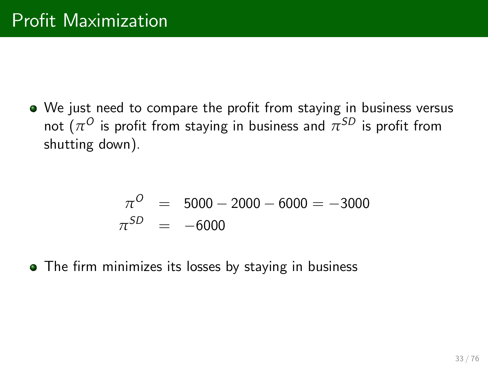• We just need to compare the profit from staying in business versus not  $(\pi^{\scriptstyle O}$  is profit from staying in business and  $\pi^{\scriptstyle SD}$  is profit from shutting down).

$$
\pi^{O} = 5000 - 2000 - 6000 = -3000
$$
  

$$
\pi^{SD} = -6000
$$

• The firm minimizes its losses by staying in business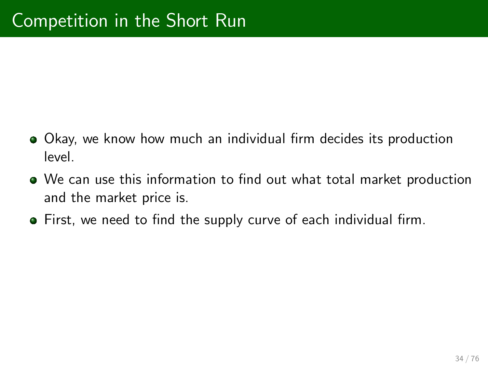- $\bullet$  Okay, we know how much an individual firm decides its production level.
- $\bullet$  We can use this information to find out what total market production and the market price is.
- First, we need to find the supply curve of each individual firm.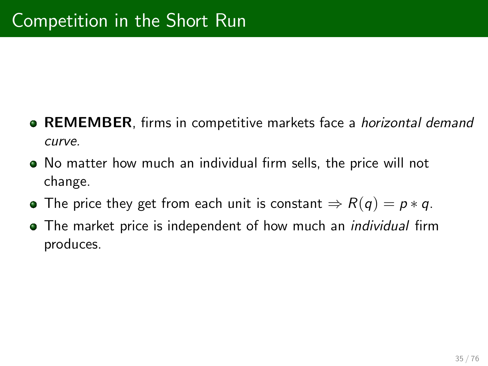- **REMEMBER**, firms in competitive markets face a *horizontal demand* curve.
- $\bullet$  No matter how much an individual firm sells, the price will not change.
- The price they get from each unit is constant  $\Rightarrow R(q) = p * q$ .
- **•** The market price is independent of how much an *individual* firm produces.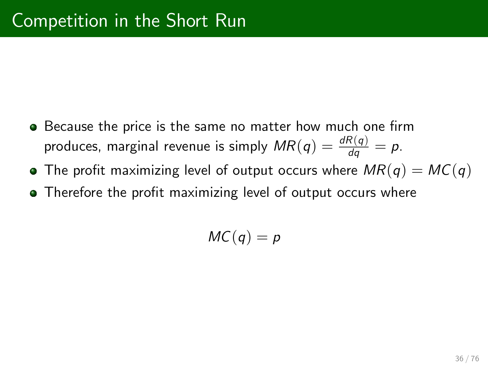- **•** Because the price is the same no matter how much one firm produces, marginal revenue is simply  $\mathit{MR}(q) = \frac{dR(q)}{dq} = p.$
- The profit maximizing level of output occurs where  $MR(q) = MC(q)$
- Therefore the profit maximizing level of output occurs where

$$
MC(q)=p
$$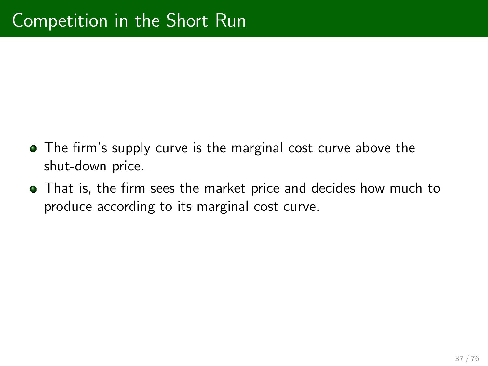- The firm's supply curve is the marginal cost curve above the shut-down price.
- **•** That is, the firm sees the market price and decides how much to produce according to its marginal cost curve.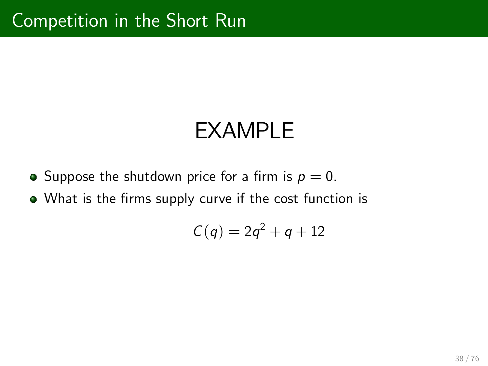- Suppose the shutdown price for a firm is  $p = 0$ .
- What is the firms supply curve if the cost function is

$$
C(q)=2q^2+q+12
$$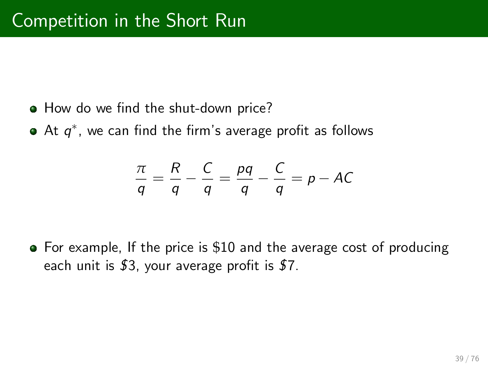- How do we find the shut-down price?
- At  $\boldsymbol{q}^*$ , we can find the firm's average profit as follows

$$
\frac{\pi}{q} = \frac{R}{q} - \frac{C}{q} = \frac{pq}{q} - \frac{C}{q} = p - AC
$$

• For example, If the price is \$10 and the average cost of producing each unit is  $$3$ , your average profit is  $$7$ .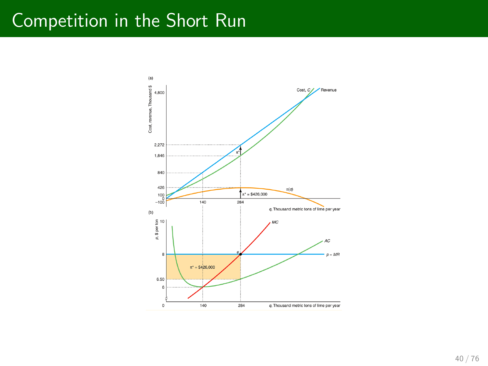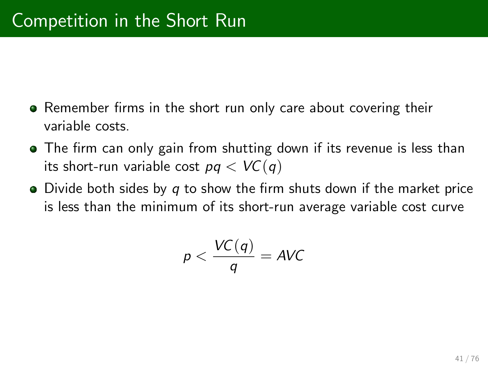- Remember firms in the short run only care about covering their variable costs.
- The firm can only gain from shutting down if its revenue is less than its short-run variable cost  $pq < VC(q)$
- $\bullet$  Divide both sides by q to show the firm shuts down if the market price is less than the minimum of its short-run average variable cost curve

$$
p < \frac{\mathcal{VC}(q)}{q} = \mathsf{AVC}
$$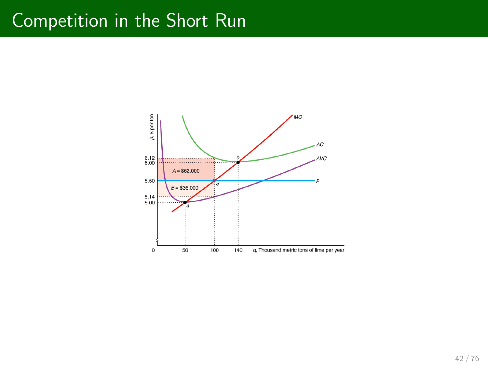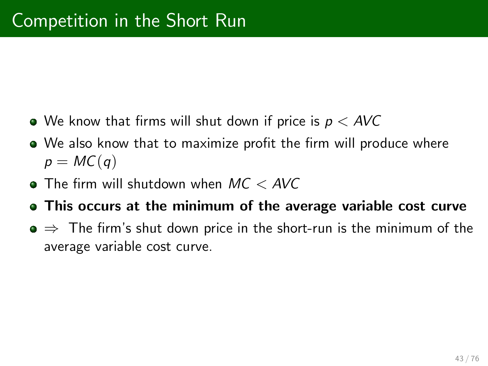- $\bullet$  We know that firms will shut down if price is  $p < AVC$
- We also know that to maximize profit the firm will produce where  $p = MC(q)$
- $\bullet$  The firm will shutdown when  $MC < AVC$
- This occurs at the minimum of the average variable cost curve
- $\bullet \Rightarrow$  The firm's shut down price in the short-run is the minimum of the average variable cost curve.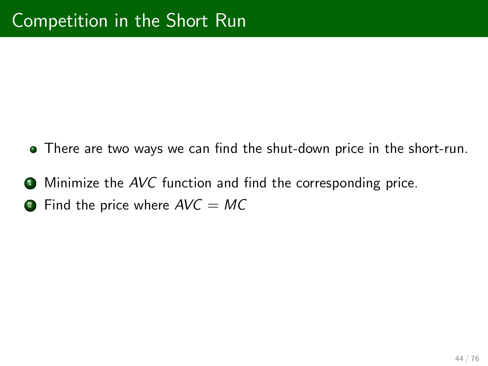- There are two ways we can find the shut-down price in the short-run.
- $\bullet$  Minimize the AVC function and find the corresponding price.
- **2** Find the price where  $AVC = MC$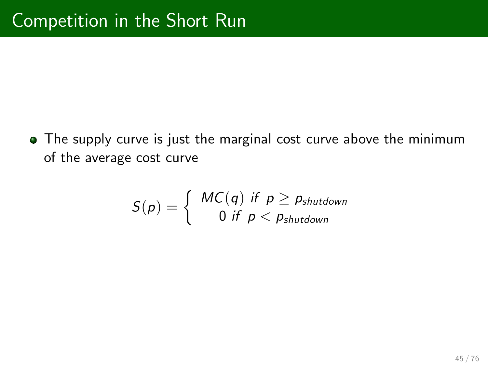The supply curve is just the marginal cost curve above the minimum of the average cost curve

$$
S(p) = \left\{ \begin{array}{c} MC(q) \text{ if } p \geq p_{shutdown} \\ 0 \text{ if } p < p_{shutdown} \end{array} \right.
$$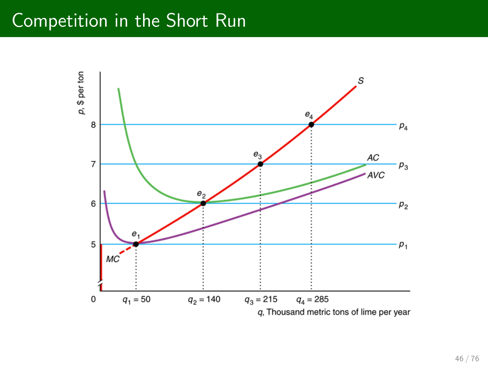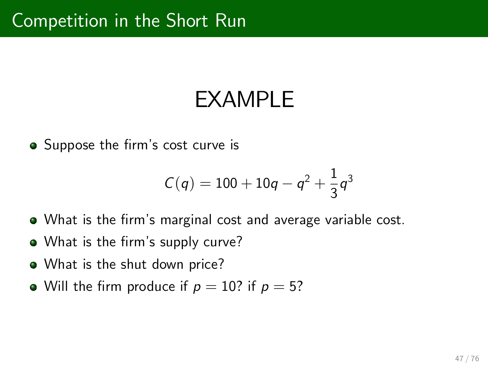• Suppose the firm's cost curve is

$$
C(q) = 100 + 10q - q^2 + \frac{1}{3}q^3
$$

- **•** What is the firm's marginal cost and average variable cost.
- What is the firm's supply curve?
- What is the shut down price?
- Will the firm produce if  $p = 10$ ? if  $p = 5$ ?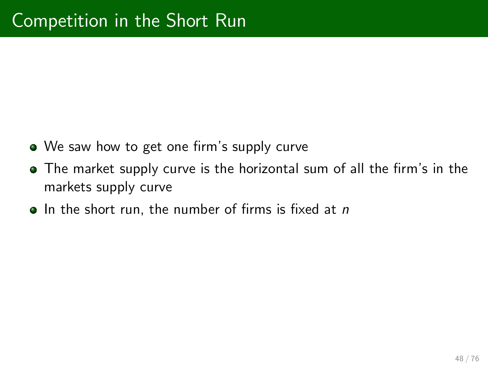- We saw how to get one firm's supply curve
- The market supply curve is the horizontal sum of all the firm's in the markets supply curve
- $\bullet$  In the short run, the number of firms is fixed at n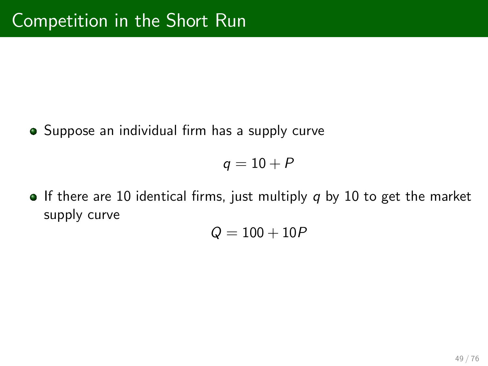**•** Suppose an individual firm has a supply curve

 $q = 10 + P$ 

**If there are 10 identical firms, just multiply q by 10 to get the market** supply curve

$$
Q=100+10P
$$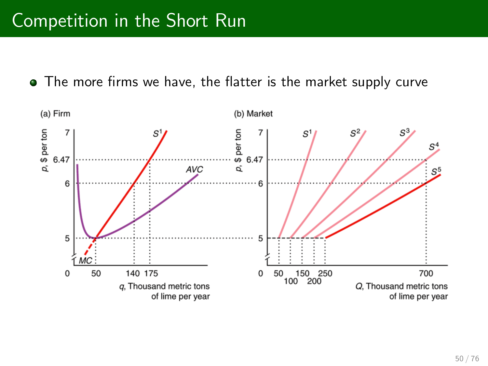• The more firms we have, the flatter is the market supply curve

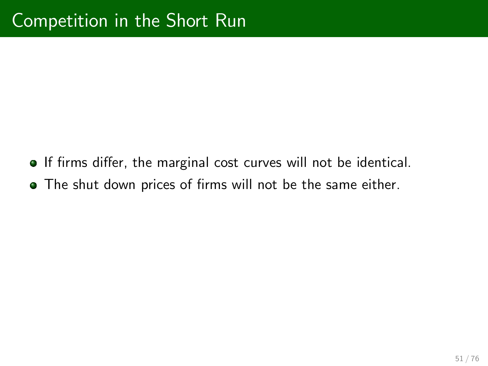- If firms differ, the marginal cost curves will not be identical.
- The shut down prices of firms will not be the same either.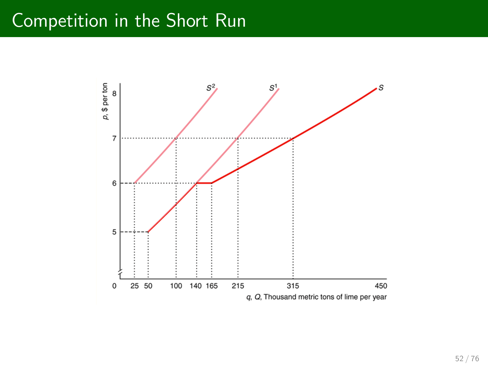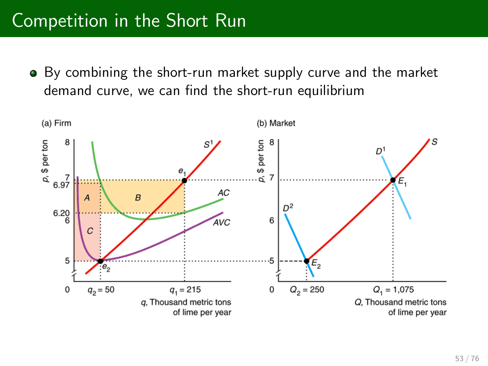By combining the short-run market supply curve and the market demand curve, we can find the short-run equilibrium

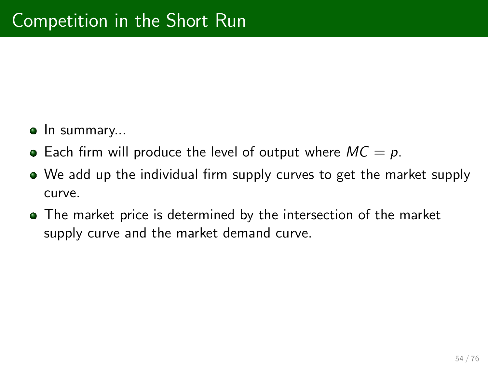- **In summary...**
- Each firm will produce the level of output where  $MC = p$ .
- We add up the individual firm supply curves to get the market supply curve.
- The market price is determined by the intersection of the market supply curve and the market demand curve.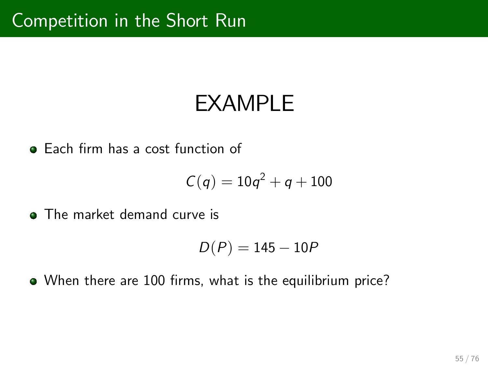**Each firm has a cost function of** 

$$
C(q)=10q^2+q+100
$$

**The market demand curve is** 

$$
D(P)=145-10P
$$

• When there are 100 firms, what is the equilibrium price?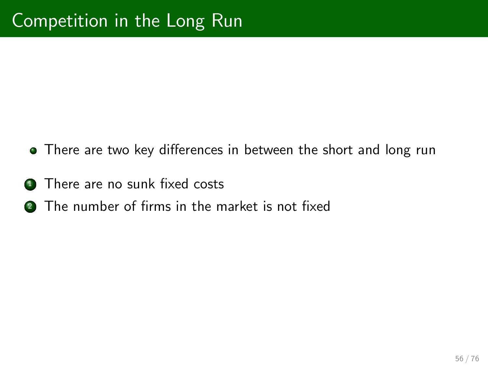- There are two key differences in between the short and long run
- **1** There are no sunk fixed costs
- **2** The number of firms in the market is not fixed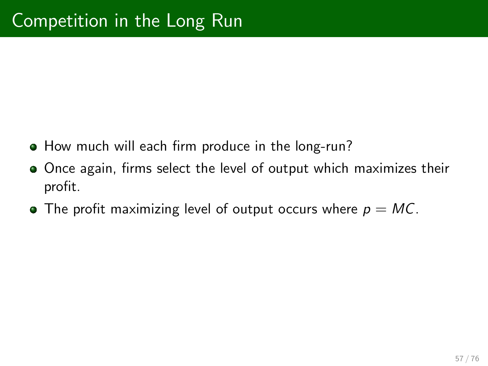- How much will each firm produce in the long-run?
- Once again, firms select the level of output which maximizes their profit.
- The profit maximizing level of output occurs where  $p = MC$ .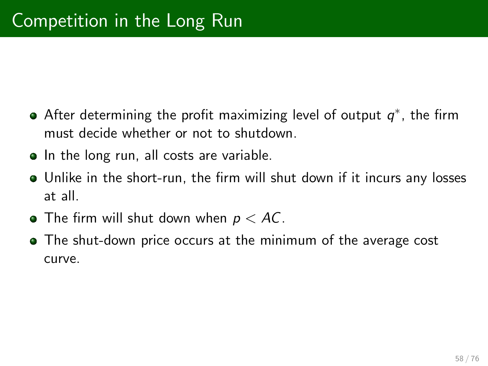- After determining the profit maximizing level of output  $\bm{{q}}^*$ , the firm must decide whether or not to shutdown.
- In the long run, all costs are variable.
- **•** Unlike in the short-run, the firm will shut down if it incurs any losses at all.
- $\bullet$  The firm will shut down when  $p < AC$ .
- The shut-down price occurs at the minimum of the average cost curve.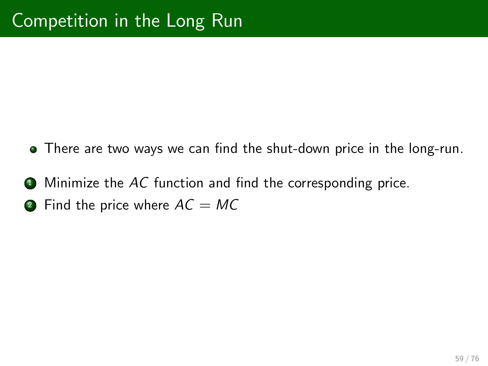- There are two ways we can find the shut-down price in the long-run.
- $\bullet$  Minimize the AC function and find the corresponding price.
- **2** Find the price where  $AC = MC$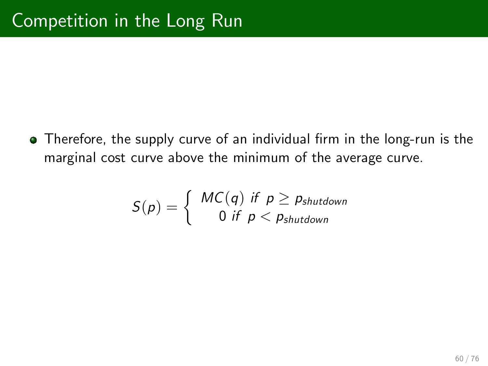• Therefore, the supply curve of an individual firm in the long-run is the marginal cost curve above the minimum of the average curve.

$$
S(p) = \left\{ \begin{array}{c} MC(q) \text{ if } p \geq p_{shutdown} \\ 0 \text{ if } p < p_{shutdown} \end{array} \right.
$$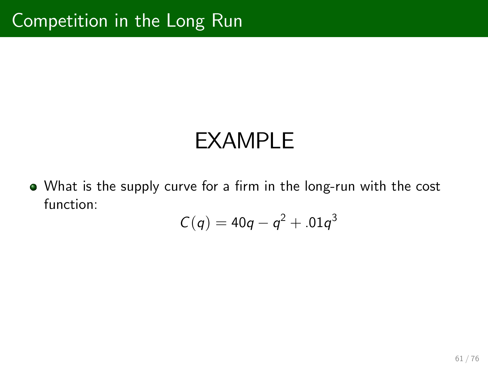• What is the supply curve for a firm in the long-run with the cost function:

$$
C(q)=40q-q^2+.01q^3
$$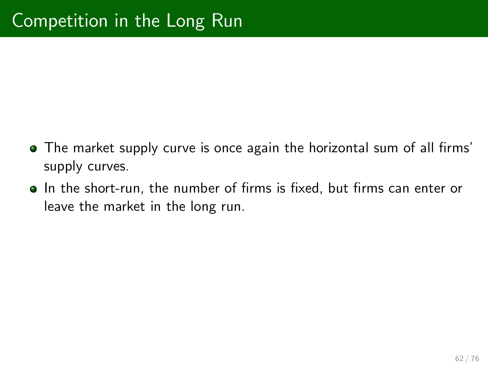- The market supply curve is once again the horizontal sum of all firms' supply curves.
- In the short-run, the number of firms is fixed, but firms can enter or leave the market in the long run.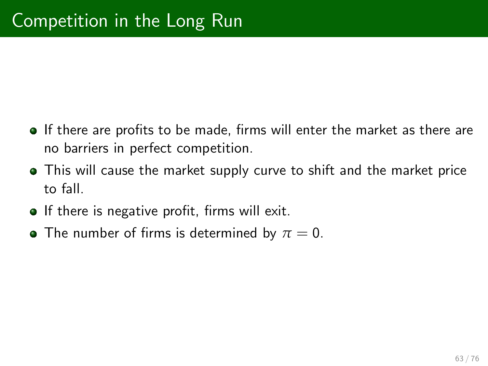- $\bullet$  If there are profits to be made, firms will enter the market as there are no barriers in perfect competition.
- This will cause the market supply curve to shift and the market price to fall.
- **If there is negative profit, firms will exit.**
- **•** The number of firms is determined by  $\pi = 0$ .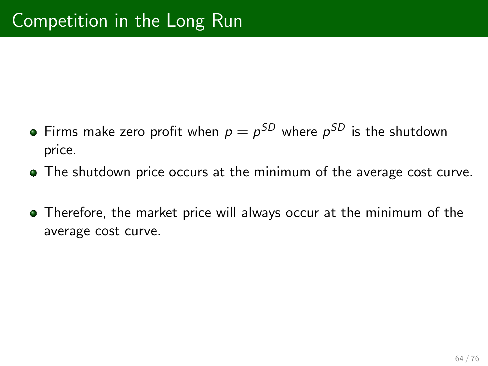- Firms make zero profit when  $\bm{\mathsf{p}}=\bm{\mathsf{p}}^{\text{SD}}$  where  $\bm{\mathsf{p}}^{\text{SD}}$  is the shutdown price.
- The shutdown price occurs at the minimum of the average cost curve.
- **•** Therefore, the market price will always occur at the minimum of the average cost curve.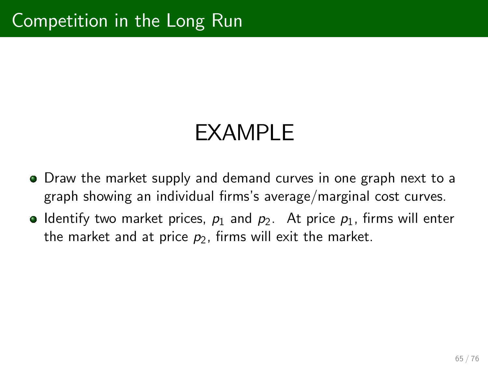- Draw the market supply and demand curves in one graph next to a graph showing an individual firms's average/marginal cost curves.
- **•** Identify two market prices,  $p_1$  and  $p_2$ . At price  $p_1$ , firms will enter the market and at price  $p_2$ , firms will exit the market.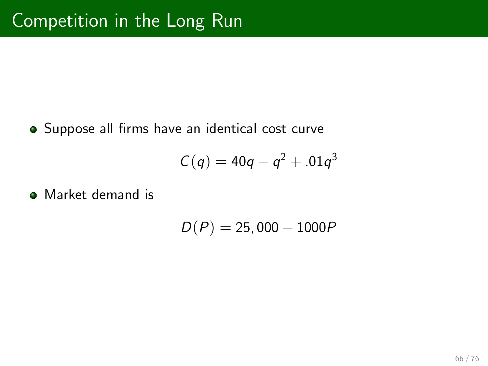· Suppose all firms have an identical cost curve

$$
C(q)=40q-q^2+.01q^3
$$

**• Market demand is** 

$$
D(P) = 25,000 - 1000P
$$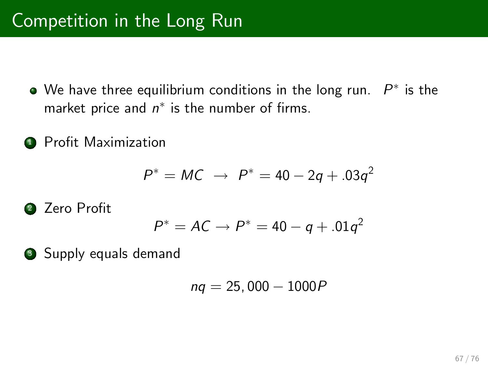- We have three equilibrium conditions in the long run.  $\ P^*$  is the market price and  $n^*$  is the number of firms.
- **1** Profit Maximization

$$
P^* = MC \rightarrow P^* = 40 - 2q + .03q^2
$$

<sup>2</sup> Zero ProÖt 

$$
P^* = AC \rightarrow P^* = 40 - q + .01q^2
$$

**3** Supply equals demand

$$
nq = 25,000 - 1000P
$$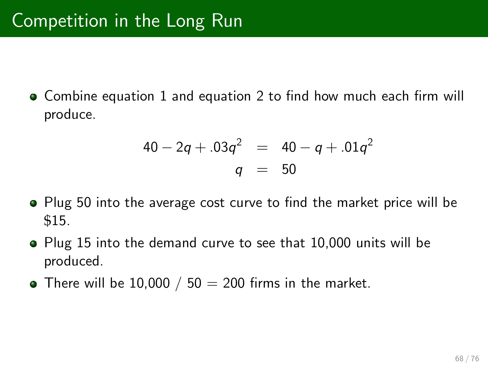• Combine equation 1 and equation 2 to find how much each firm will produce.

$$
40 - 2q + .03q^{2} = 40 - q + .01q^{2}
$$
  
 
$$
q = 50
$$

- Plug 50 into the average cost curve to find the market price will be \$15.
- Plug 15 into the demand curve to see that 10,000 units will be produced.
- There will be 10,000 / 50  $=$  200 firms in the market.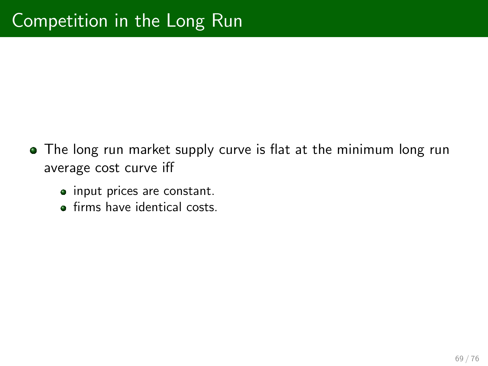- The long run market supply curve is flat at the minimum long run average cost curve iff
	- input prices are constant.
	- **o** firms have identical costs.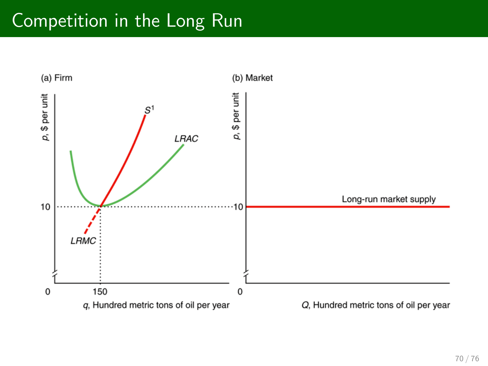### Competition in the Long Run

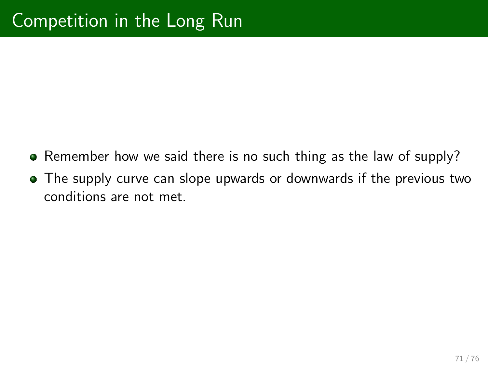- Remember how we said there is no such thing as the law of supply?
- The supply curve can slope upwards or downwards if the previous two conditions are not met.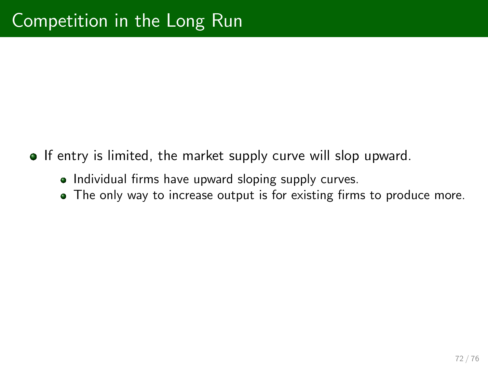- **If entry is limited, the market supply curve will slop upward.** 
	- Individual firms have upward sloping supply curves.
	- The only way to increase output is for existing firms to produce more.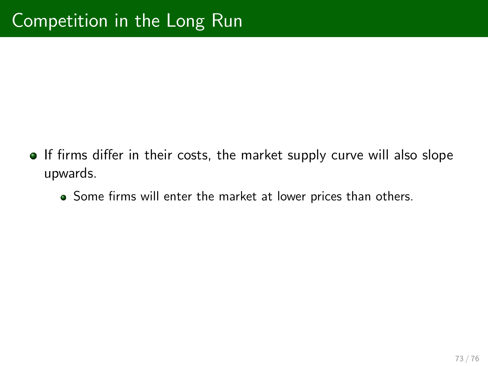- If firms differ in their costs, the market supply curve will also slope upwards.
	- Some firms will enter the market at lower prices than others.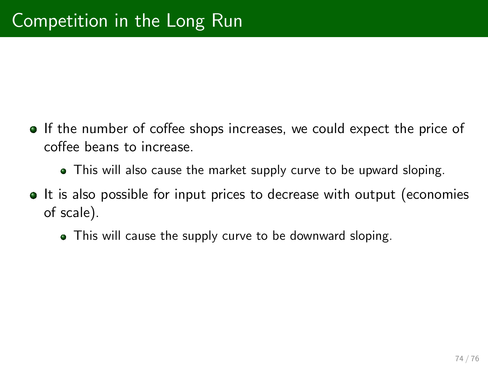- If the number of coffee shops increases, we could expect the price of coffee beans to increase.
	- This will also cause the market supply curve to be upward sloping.
- **It is also possible for input prices to decrease with output (economies** of scale).
	- This will cause the supply curve to be downward sloping.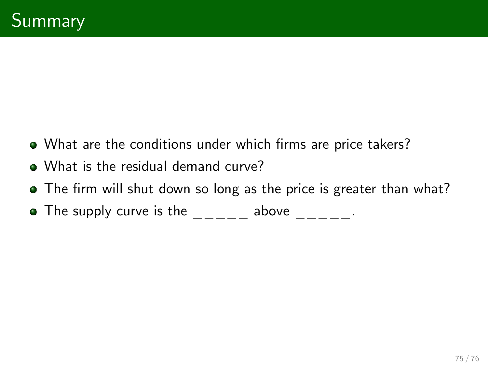- What are the conditions under which firms are price takers?
- What is the residual demand curve?
- The firm will shut down so long as the price is greater than what?
- $\bullet$  The supply curve is the  $\_\_ \_\_ \_$  above  $\_\_ \_\_ \_ \_ \_ \_$